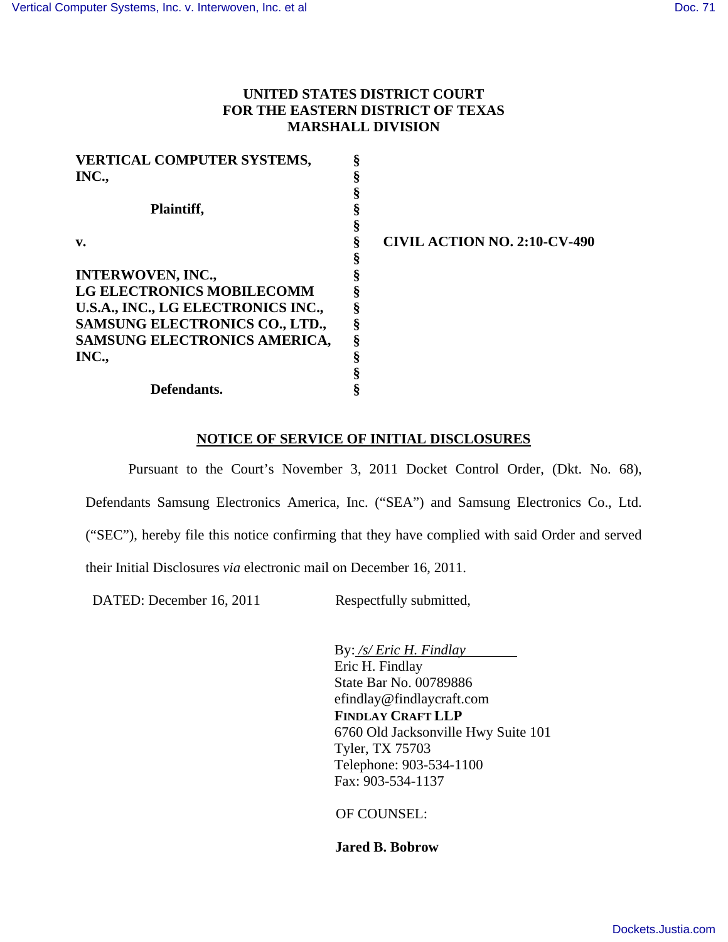## **UNITED STATES DISTRICT COURT FOR THE EASTERN DISTRICT OF TEXAS MARSHALL DIVISION**

| <b>VERTICAL COMPUTER SYSTEMS,</b>  |                                     |
|------------------------------------|-------------------------------------|
| INC.,                              |                                     |
|                                    |                                     |
| Plaintiff,                         |                                     |
|                                    |                                     |
| $\mathbf{v}$ .                     | <b>CIVIL ACTION NO. 2:10-CV-490</b> |
|                                    |                                     |
| <b>INTERWOVEN, INC.,</b>           |                                     |
| <b>LG ELECTRONICS MOBILECOMM</b>   |                                     |
| U.S.A., INC., LG ELECTRONICS INC., |                                     |
| SAMSUNG ELECTRONICS CO., LTD.,     |                                     |
| SAMSUNG ELECTRONICS AMERICA,       |                                     |
| INC.,                              |                                     |
|                                    |                                     |
| Defendants.                        |                                     |

## **NOTICE OF SERVICE OF INITIAL DISCLOSURES**

 Pursuant to the Court's November 3, 2011 Docket Control Order, (Dkt. No. 68), Defendants Samsung Electronics America, Inc. ("SEA") and Samsung Electronics Co., Ltd. ("SEC"), hereby file this notice confirming that they have complied with said Order and served their Initial Disclosures *via* electronic mail on December 16, 2011.

DATED: December 16, 2011 Respectfully submitted,

By: */s/ Eric H. Findlay* Eric H. Findlay State Bar No. 00789886 efindlay@findlaycraft.com **FINDLAY CRAFT LLP**  6760 Old Jacksonville Hwy Suite 101 Tyler, TX 75703 Telephone: 903-534-1100 Fax: 903-534-1137

OF COUNSEL:

**Jared B. Bobrow**